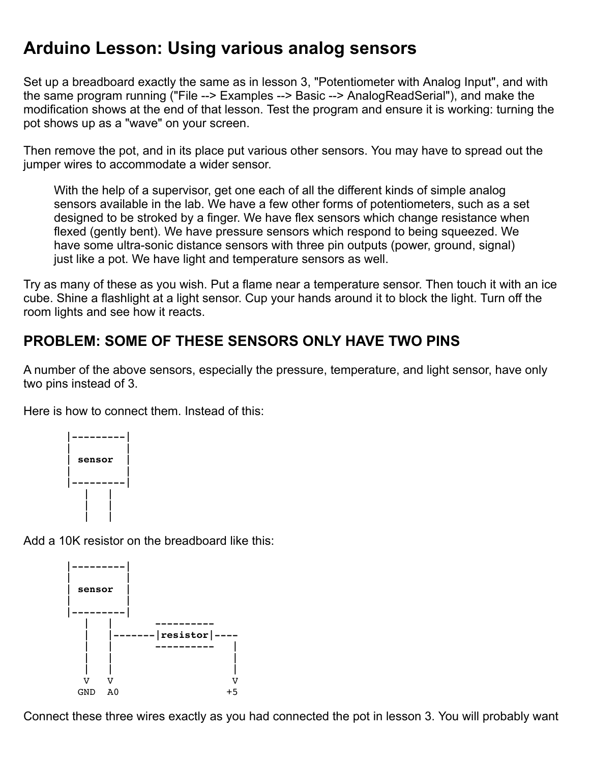## **Arduino Lesson: Using various analog sensors**

Set up a breadboard exactly the same as in lesson 3, "Potentiometer with Analog Input", and with the same program running ("File --> Examples --> Basic --> AnalogReadSerial"), and make the modification shows at the end of that lesson. Test the program and ensure it is working: turning the pot shows up as a "wave" on your screen.

Then remove the pot, and in its place put various other sensors. You may have to spread out the jumper wires to accommodate a wider sensor.

With the help of a supervisor, get one each of all the different kinds of simple analog sensors available in the lab. We have a few other forms of potentiometers, such as a set designed to be stroked by a finger. We have flex sensors which change resistance when flexed (gently bent). We have pressure sensors which respond to being squeezed. We have some ultra-sonic distance sensors with three pin outputs (power, ground, signal) just like a pot. We have light and temperature sensors as well.

Try as many of these as you wish. Put a flame near a temperature sensor. Then touch it with an ice cube. Shine a flashlight at a light sensor. Cup your hands around it to block the light. Turn off the room lights and see how it reacts.

## **PROBLEM: SOME OF THESE SENSORS ONLY HAVE TWO PINS**

A number of the above sensors, especially the pressure, temperature, and light sensor, have only two pins instead of 3.

Here is how to connect them. Instead of this:



Add a 10K resistor on the breadboard like this:



Connect these three wires exactly as you had connected the pot in lesson 3. You will probably want